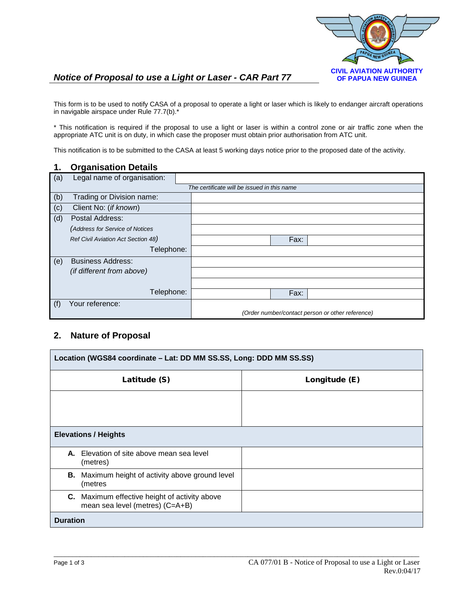

# *Notice of Proposal to use a Light or Laser - CAR Part 77* **CIVIL AVIATION AUTHORITY**

This form is to be used to notify CASA of a proposal to operate a light or laser which is likely to endanger aircraft operations in navigable airspace under Rule 77.7(b).\*

\* This notification is required if the proposal to use a light or laser is within a control zone or air traffic zone when the appropriate ATC unit is on duty, in which case the proposer must obtain prior authorisation from ATC unit.

This notification is to be submitted to the CASA at least 5 working days notice prior to the proposed date of the activity.

### **1. Organisation Details**

| (a) | Legal name of organisation:        |                                                  |
|-----|------------------------------------|--------------------------------------------------|
|     |                                    | The certificate will be issued in this name      |
| (b) | Trading or Division name:          |                                                  |
| (c) | Client No: (if known)              |                                                  |
| (d) | Postal Address:                    |                                                  |
|     | (Address for Service of Notices    |                                                  |
|     | Ref Civil Aviation Act Section 48) | Fax:                                             |
|     | Telephone:                         |                                                  |
| (e) | <b>Business Address:</b>           |                                                  |
|     | (if different from above)          |                                                  |
|     |                                    |                                                  |
|     | Telephone:                         | Fax:                                             |
| (f) | Your reference:                    |                                                  |
|     |                                    | (Order number/contact person or other reference) |

## **2. Nature of Proposal**

| Location (WGS84 coordinate - Lat: DD MM SS.SS, Long: DDD MM SS.SS)               |               |  |  |  |
|----------------------------------------------------------------------------------|---------------|--|--|--|
| Latitude (S)                                                                     | Longitude (E) |  |  |  |
|                                                                                  |               |  |  |  |
| <b>Elevations / Heights</b>                                                      |               |  |  |  |
| A. Elevation of site above mean sea level<br>(metres)                            |               |  |  |  |
| <b>B.</b> Maximum height of activity above ground level<br>(metres               |               |  |  |  |
| C. Maximum effective height of activity above<br>mean sea level (metres) (C=A+B) |               |  |  |  |
| <b>Duration</b>                                                                  |               |  |  |  |

\_\_\_\_\_\_\_\_\_\_\_\_\_\_\_\_\_\_\_\_\_\_\_\_\_\_\_\_\_\_\_\_\_\_\_\_\_\_\_\_\_\_\_\_\_\_\_\_\_\_\_\_\_\_\_\_\_\_\_\_\_\_\_\_\_\_\_\_\_\_\_\_\_\_\_\_\_\_\_\_\_\_\_\_\_\_\_\_\_\_\_\_\_\_\_\_\_\_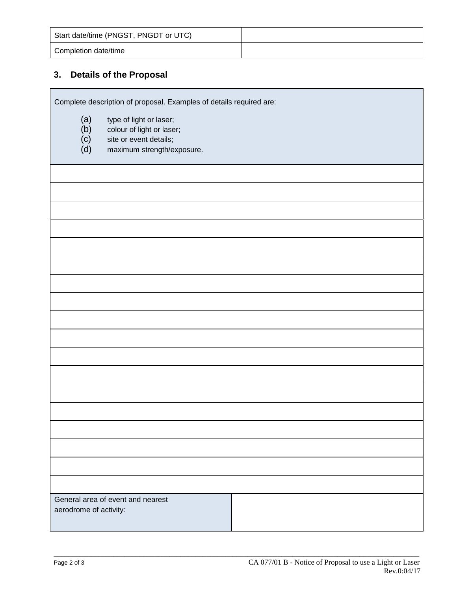| Start date/time (PNGST, PNGDT or UTC) |  |
|---------------------------------------|--|
| Completion date/time                  |  |

# **3. Details of the Proposal**

Complete description of proposal. Examples of details required are:

- (a) type of light or laser;<br>(b) colour of light or lase
- (b) colour of light or laser;<br>(c) site or event details;
- (c) site or event details;<br>(d) maximum strength/ex
- maximum strength/exposure.

| General area of event and nearest<br>aerodrome of activity: |  |  |  |
|-------------------------------------------------------------|--|--|--|
|                                                             |  |  |  |
|                                                             |  |  |  |
|                                                             |  |  |  |
|                                                             |  |  |  |
|                                                             |  |  |  |
|                                                             |  |  |  |
|                                                             |  |  |  |
|                                                             |  |  |  |
|                                                             |  |  |  |
|                                                             |  |  |  |
|                                                             |  |  |  |
|                                                             |  |  |  |
|                                                             |  |  |  |
|                                                             |  |  |  |
|                                                             |  |  |  |
|                                                             |  |  |  |
|                                                             |  |  |  |
|                                                             |  |  |  |
|                                                             |  |  |  |
|                                                             |  |  |  |
|                                                             |  |  |  |
|                                                             |  |  |  |
|                                                             |  |  |  |
|                                                             |  |  |  |
|                                                             |  |  |  |
|                                                             |  |  |  |
|                                                             |  |  |  |
|                                                             |  |  |  |
|                                                             |  |  |  |
|                                                             |  |  |  |
|                                                             |  |  |  |
|                                                             |  |  |  |
|                                                             |  |  |  |
|                                                             |  |  |  |
|                                                             |  |  |  |
|                                                             |  |  |  |
|                                                             |  |  |  |
|                                                             |  |  |  |
|                                                             |  |  |  |
|                                                             |  |  |  |
|                                                             |  |  |  |
|                                                             |  |  |  |
|                                                             |  |  |  |
|                                                             |  |  |  |
|                                                             |  |  |  |
|                                                             |  |  |  |
|                                                             |  |  |  |
|                                                             |  |  |  |
|                                                             |  |  |  |
|                                                             |  |  |  |
|                                                             |  |  |  |
|                                                             |  |  |  |
|                                                             |  |  |  |
|                                                             |  |  |  |
|                                                             |  |  |  |

\_\_\_\_\_\_\_\_\_\_\_\_\_\_\_\_\_\_\_\_\_\_\_\_\_\_\_\_\_\_\_\_\_\_\_\_\_\_\_\_\_\_\_\_\_\_\_\_\_\_\_\_\_\_\_\_\_\_\_\_\_\_\_\_\_\_\_\_\_\_\_\_\_\_\_\_\_\_\_\_\_\_\_\_\_\_\_\_\_\_\_\_\_\_\_\_\_\_